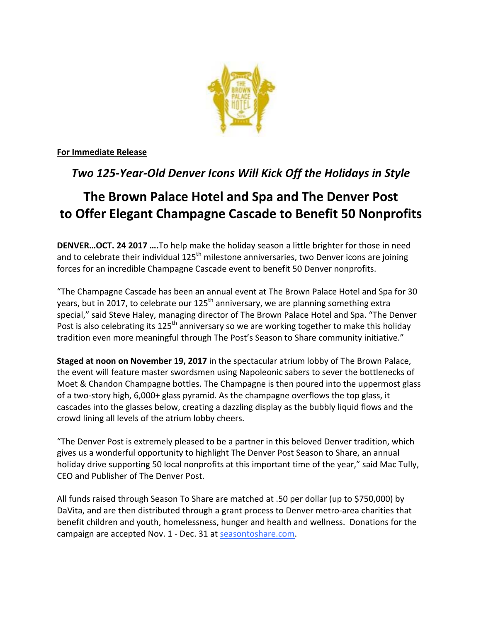

**For Immediate Release** 

## **Two 125-Year-Old Denver Icons Will Kick Off the Holidays in Style**

# **The Brown Palace Hotel and Spa and The Denver Post to Offer Elegant Champagne Cascade to Benefit 50 Nonprofits**

**DENVER...OCT. 24 2017 ....**To help make the holiday season a little brighter for those in need and to celebrate their individual 125<sup>th</sup> milestone anniversaries, two Denver icons are joining forces for an incredible Champagne Cascade event to benefit 50 Denver nonprofits.

"The Champagne Cascade has been an annual event at The Brown Palace Hotel and Spa for 30 years, but in 2017, to celebrate our  $125<sup>th</sup>$  anniversary, we are planning something extra special," said Steve Haley, managing director of The Brown Palace Hotel and Spa. "The Denver Post is also celebrating its 125<sup>th</sup> anniversary so we are working together to make this holiday tradition even more meaningful through The Post's Season to Share community initiative."

**Staged at noon on November 19, 2017** in the spectacular atrium lobby of The Brown Palace, the event will feature master swordsmen using Napoleonic sabers to sever the bottlenecks of Moet & Chandon Champagne bottles. The Champagne is then poured into the uppermost glass of a two-story high, 6,000+ glass pyramid. As the champagne overflows the top glass, it cascades into the glasses below, creating a dazzling display as the bubbly liquid flows and the crowd lining all levels of the atrium lobby cheers.

"The Denver Post is extremely pleased to be a partner in this beloved Denver tradition, which gives us a wonderful opportunity to highlight The Denver Post Season to Share, an annual holiday drive supporting 50 local nonprofits at this important time of the year," said Mac Tully, CEO and Publisher of The Denver Post.

All funds raised through Season To Share are matched at .50 per dollar (up to \$750,000) by DaVita, and are then distributed through a grant process to Denver metro-area charities that benefit children and youth, homelessness, hunger and health and wellness. Donations for the campaign are accepted Nov. 1 - Dec. 31 at seasontoshare.com.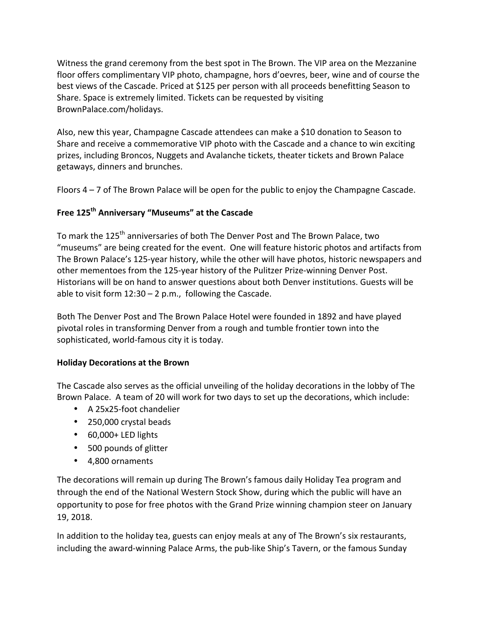Witness the grand ceremony from the best spot in The Brown. The VIP area on the Mezzanine floor offers complimentary VIP photo, champagne, hors d'oevres, beer, wine and of course the best views of the Cascade. Priced at \$125 per person with all proceeds benefitting Season to Share. Space is extremely limited. Tickets can be requested by visiting BrownPalace.com/holidays.

Also, new this year, Champagne Cascade attendees can make a \$10 donation to Season to Share and receive a commemorative VIP photo with the Cascade and a chance to win exciting prizes, including Broncos, Nuggets and Avalanche tickets, theater tickets and Brown Palace getaways, dinners and brunches.

Floors  $4 - 7$  of The Brown Palace will be open for the public to enjoy the Champagne Cascade.

### Free 125<sup>th</sup> Anniversary "Museums" at the Cascade

To mark the 125<sup>th</sup> anniversaries of both The Denver Post and The Brown Palace, two "museums" are being created for the event. One will feature historic photos and artifacts from The Brown Palace's 125-year history, while the other will have photos, historic newspapers and other mementoes from the 125-year history of the Pulitzer Prize-winning Denver Post. Historians will be on hand to answer questions about both Denver institutions. Guests will be able to visit form  $12:30 - 2$  p.m., following the Cascade.

Both The Denver Post and The Brown Palace Hotel were founded in 1892 and have played pivotal roles in transforming Denver from a rough and tumble frontier town into the sophisticated, world-famous city it is today.

#### **Holiday Decorations at the Brown**

The Cascade also serves as the official unveiling of the holiday decorations in the lobby of The Brown Palace. A team of 20 will work for two days to set up the decorations, which include:

- A 25x25-foot chandelier
- 250,000 crystal beads
- 60,000+ LED lights
- 500 pounds of glitter
- 4,800 ornaments

The decorations will remain up during The Brown's famous daily Holiday Tea program and through the end of the National Western Stock Show, during which the public will have an opportunity to pose for free photos with the Grand Prize winning champion steer on January 19, 2018.

In addition to the holiday tea, guests can enjoy meals at any of The Brown's six restaurants, including the award-winning Palace Arms, the pub-like Ship's Tavern, or the famous Sunday